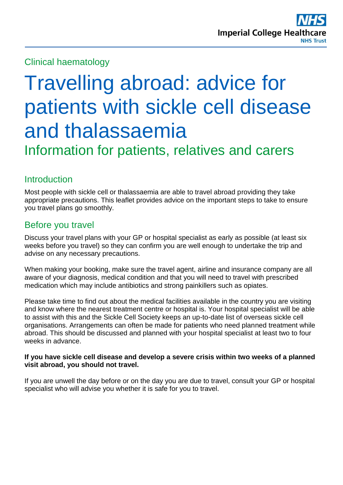# Clinical haematology

# Travelling abroad: advice for patients with sickle cell disease and thalassaemia Information for patients, relatives and carers

## **Introduction**

Most people with sickle cell or thalassaemia are able to travel abroad providing they take appropriate precautions. This leaflet provides advice on the important steps to take to ensure you travel plans go smoothly.

## Before you travel

Discuss your travel plans with your GP or hospital specialist as early as possible (at least six weeks before you travel) so they can confirm you are well enough to undertake the trip and advise on any necessary precautions.

When making your booking, make sure the travel agent, airline and insurance company are all aware of your diagnosis, medical condition and that you will need to travel with prescribed medication which may include antibiotics and strong painkillers such as opiates.

Please take time to find out about the medical facilities available in the country you are visiting and know where the nearest treatment centre or hospital is. Your hospital specialist will be able to assist with this and the Sickle Cell Society keeps an up-to-date list of overseas sickle cell organisations. Arrangements can often be made for patients who need planned treatment while abroad. This should be discussed and planned with your hospital specialist at least two to four weeks in advance.

#### **If you have sickle cell disease and develop a severe crisis within two weeks of a planned visit abroad, you should not travel.**

If you are unwell the day before or on the day you are due to travel, consult your GP or hospital specialist who will advise you whether it is safe for you to travel.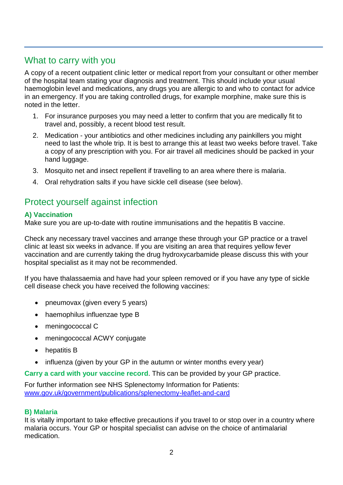## What to carry with you

A copy of a recent outpatient clinic letter or medical report from your consultant or other member of the hospital team stating your diagnosis and treatment. This should include your usual haemoglobin level and medications, any drugs you are allergic to and who to contact for advice in an emergency. If you are taking controlled drugs, for example morphine, make sure this is noted in the letter.

- 1. For insurance purposes you may need a letter to confirm that you are medically fit to travel and, possibly, a recent blood test result.
- 2. Medication your antibiotics and other medicines including any painkillers you might need to last the whole trip. It is best to arrange this at least two weeks before travel. Take a copy of any prescription with you. For air travel all medicines should be packed in your hand luggage.
- 3. Mosquito net and insect repellent if travelling to an area where there is malaria.
- 4. Oral rehydration salts if you have sickle cell disease (see below).

## Protect yourself against infection

## **A) Vaccination**

Make sure you are up-to-date with routine immunisations and the hepatitis B vaccine.

Check any necessary travel vaccines and arrange these through your GP practice or a travel clinic at least six weeks in advance. If you are visiting an area that requires yellow fever vaccination and are currently taking the drug hydroxycarbamide please discuss this with your hospital specialist as it may not be recommended.

If you have thalassaemia and have had your spleen removed or if you have any type of sickle cell disease check you have received the following vaccines:

- pneumovax (given every 5 years)
- haemophilus influenzae type B
- meningococcal C
- meningococcal ACWY conjugate
- hepatitis B
- influenza (given by your GP in the autumn or winter months every year)

**Carry a card with your vaccine record**. This can be provided by your GP practice.

For further information see NHS Splenectomy Information for Patients: [www.gov.uk/government/publications/splenectomy-leaflet-and-card](http://www.gov.uk/government/publications/splenectomy-leaflet-and-card)

#### **B) Malaria**

It is vitally important to take effective precautions if you travel to or stop over in a country where malaria occurs. Your GP or hospital specialist can advise on the choice of antimalarial medication.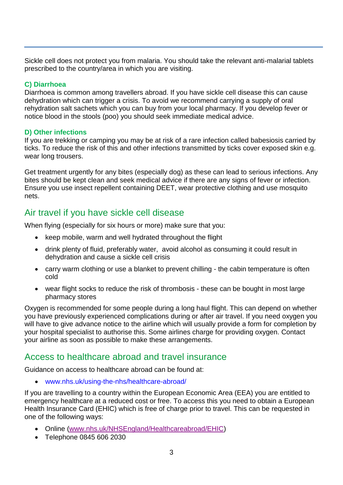Sickle cell does not protect you from malaria. You should take the relevant anti-malarial tablets prescribed to the country/area in which you are visiting.

## **C) Diarrhoea**

Diarrhoea is common among travellers abroad. If you have sickle cell disease this can cause dehydration which can trigger a crisis. To avoid we recommend carrying a supply of oral rehydration salt sachets which you can buy from your local pharmacy. If you develop fever or notice blood in the stools (poo) you should seek immediate medical advice.

#### **D) Other infections**

If you are trekking or camping you may be at risk of a rare infection called babesiosis carried by ticks. To reduce the risk of this and other infections transmitted by ticks cover exposed skin e.g. wear long trousers.

Get treatment urgently for any bites (especially dog) as these can lead to serious infections. Any bites should be kept clean and seek medical advice if there are any signs of fever or infection. Ensure you use insect repellent containing DEET, wear protective clothing and use mosquito nets.

## Air travel if you have sickle cell disease

When flying (especially for six hours or more) make sure that you:

- keep mobile, warm and well hydrated throughout the flight
- drink plenty of fluid, preferably water, avoid alcohol as consuming it could result in dehydration and cause a sickle cell crisis
- carry warm clothing or use a blanket to prevent chilling the cabin temperature is often cold
- wear flight socks to reduce the risk of thrombosis these can be bought in most large pharmacy stores

Oxygen is recommended for some people during a long haul flight. This can depend on whether you have previously experienced complications during or after air travel. If you need oxygen you will have to give advance notice to the airline which will usually provide a form for completion by your hospital specialist to authorise this. Some airlines charge for providing oxygen. Contact your airline as soon as possible to make these arrangements.

## Access to healthcare abroad and travel insurance

Guidance on access to healthcare abroad can be found at:

[www.nhs.uk/using-the-nhs/healthcare-abroad/](http://www.nhs.uk/using-the-nhs/healthcare-abroad/)

If you are travelling to a country within the European Economic Area (EEA) you are entitled to emergency healthcare at a reduced cost or free. To access this you need to obtain a European Health Insurance Card (EHIC) which is free of charge prior to travel. This can be requested in one of the following ways:

- Online [\(www.nhs.uk/NHSEngland/Healthcareabroad/EHIC\)](http://www.nhs.uk/NHSEngland/Healthcareabroad/EHIC)
- Telephone 0845 606 2030